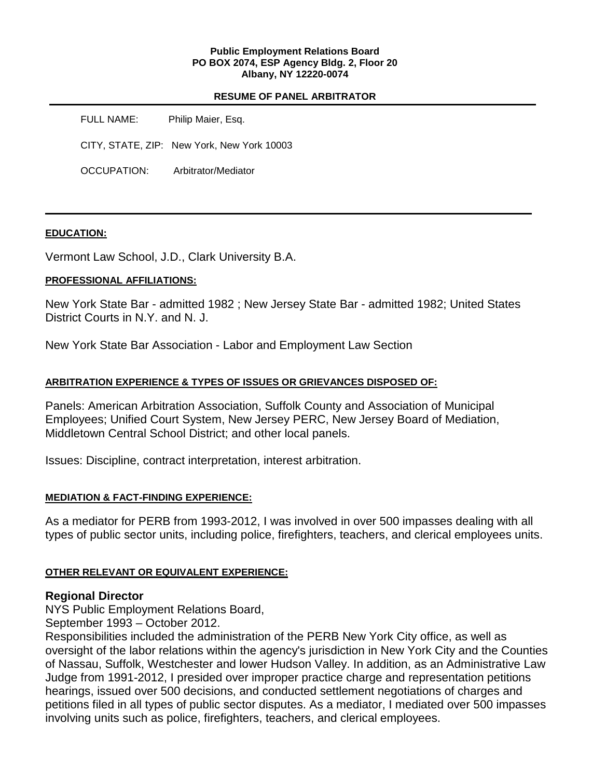### **Public Employment Relations Board PO BOX 2074, ESP Agency Bldg. 2, Floor 20 Albany, NY 12220-0074**

## **RESUME OF PANEL ARBITRATOR**

FULL NAME: Philip Maier, Esq. CITY, STATE, ZIP: New York, New York 10003 OCCUPATION: Arbitrator/Mediator

## **EDUCATION:**

Vermont Law School, J.D., Clark University B.A.

# **PROFESSIONAL AFFILIATIONS:**

New York State Bar - admitted 1982 ; New Jersey State Bar - admitted 1982; United States District Courts in N.Y. and N. J.

New York State Bar Association - Labor and Employment Law Section

# **ARBITRATION EXPERIENCE & TYPES OF ISSUES OR GRIEVANCES DISPOSED OF:**

Panels: American Arbitration Association, Suffolk County and Association of Municipal Employees; Unified Court System, New Jersey PERC, New Jersey Board of Mediation, Middletown Central School District; and other local panels.

Issues: Discipline, contract interpretation, interest arbitration.

# **MEDIATION & FACT-FINDING EXPERIENCE:**

As a mediator for PERB from 1993-2012, I was involved in over 500 impasses dealing with all types of public sector units, including police, firefighters, teachers, and clerical employees units.

# **OTHER RELEVANT OR EQUIVALENT EXPERIENCE:**

# **Regional Director**

NYS Public Employment Relations Board,

September 1993 – October 2012.

Responsibilities included the administration of the PERB New York City office, as well as oversight of the labor relations within the agency's jurisdiction in New York City and the Counties of Nassau, Suffolk, Westchester and lower Hudson Valley. In addition, as an Administrative Law Judge from 1991-2012, I presided over improper practice charge and representation petitions hearings, issued over 500 decisions, and conducted settlement negotiations of charges and petitions filed in all types of public sector disputes. As a mediator, I mediated over 500 impasses involving units such as police, firefighters, teachers, and clerical employees.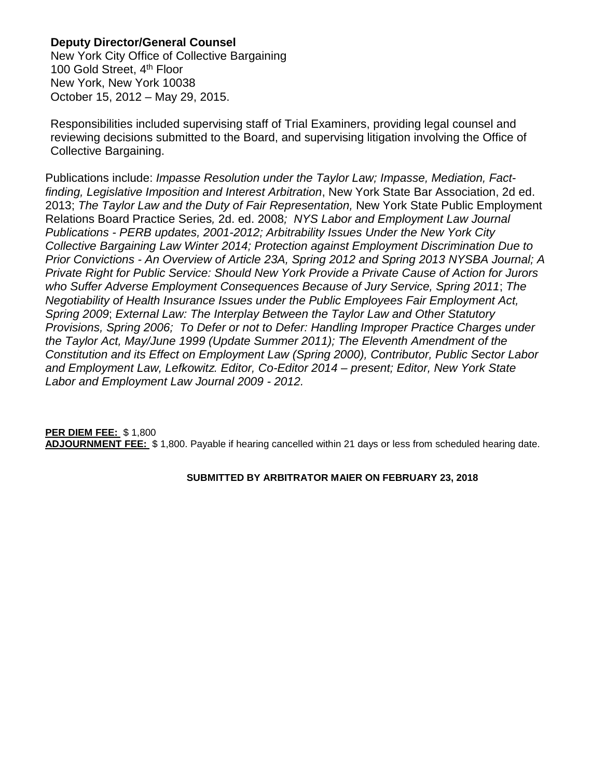# **Deputy Director/General Counsel**

New York City Office of Collective Bargaining 100 Gold Street, 4<sup>th</sup> Floor New York, New York 10038 October 15, 2012 – May 29, 2015.

Responsibilities included supervising staff of Trial Examiners, providing legal counsel and reviewing decisions submitted to the Board, and supervising litigation involving the Office of Collective Bargaining.

Publications include: *Impasse Resolution under the Taylor Law; Impasse, Mediation, Factfinding, Legislative Imposition and Interest Arbitration*, New York State Bar Association, 2d ed. 2013; *The Taylor Law and the Duty of Fair Representation,* New York State Public Employment Relations Board Practice Series*,* 2d. ed. 2008*; NYS Labor and Employment Law Journal Publications - PERB updates, 2001-2012; Arbitrability Issues Under the New York City Collective Bargaining Law Winter 2014; Protection against Employment Discrimination Due to Prior Convictions - An Overview of Article 23A, Spring 2012 and Spring 2013 NYSBA Journal; A Private Right for Public Service: Should New York Provide a Private Cause of Action for Jurors who Suffer Adverse Employment Consequences Because of Jury Service, Spring 2011*; *The Negotiability of Health Insurance Issues under the Public Employees Fair Employment Act, Spring 2009*; *External Law: The Interplay Between the Taylor Law and Other Statutory Provisions, Spring 2006; To Defer or not to Defer: Handling Improper Practice Charges under the Taylor Act, May/June 1999 (Update Summer 2011); The Eleventh Amendment of the Constitution and its Effect on Employment Law (Spring 2000), Contributor, Public Sector Labor and Employment Law, Lefkowitz. Editor, Co-Editor 2014 – present; Editor, New York State Labor and Employment Law Journal 2009 - 2012.*

# **PER DIEM FEE:** \$ 1,800 **ADJOURNMENT FEE:** \$ 1,800. Payable if hearing cancelled within 21 days or less from scheduled hearing date.

# **SUBMITTED BY ARBITRATOR MAIER ON FEBRUARY 23, 2018**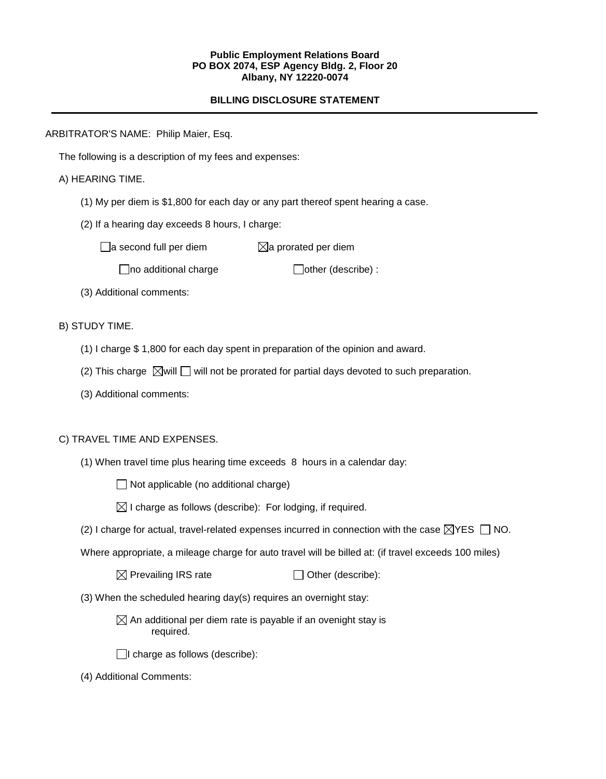#### **Public Employment Relations Board PO BOX 2074, ESP Agency Bldg. 2, Floor 20 Albany, NY 12220-0074**

# **BILLING DISCLOSURE STATEMENT**

ARBITRATOR'S NAME: Philip Maier, Esq.

The following is a description of my fees and expenses:

A) HEARING TIME.

- (1) My per diem is \$1,800 for each day or any part thereof spent hearing a case.
- (2) If a hearing day exceeds 8 hours, I charge:

 $\Box$ a second full per diem  $\boxtimes$ a prorated per diem

 $\Box$ no additional charge  $\Box$ other (describe) :

(3) Additional comments:

B) STUDY TIME.

- (1) I charge \$ 1,800 for each day spent in preparation of the opinion and award.
- (2) This charge  $\boxtimes$  will  $\Box$  will not be prorated for partial days devoted to such preparation.
- (3) Additional comments:

### C) TRAVEL TIME AND EXPENSES.

(1) When travel time plus hearing time exceeds 8 hours in a calendar day:

 $\Box$  Not applicable (no additional charge)

 $\boxtimes$  I charge as follows (describe): For lodging, if required.

(2) I charge for actual, travel-related expenses incurred in connection with the case  $\boxtimes$ YES  $\Box$  NO.

Where appropriate, a mileage charge for auto travel will be billed at: (if travel exceeds 100 miles)

 $\boxtimes$  Prevailing IRS rate  $\Box$  Other (describe):

(3) When the scheduled hearing day(s) requires an overnight stay:

 $\boxtimes$  An additional per diem rate is payable if an ovenight stay is required.

 $\Box$ I charge as follows (describe):

(4) Additional Comments: